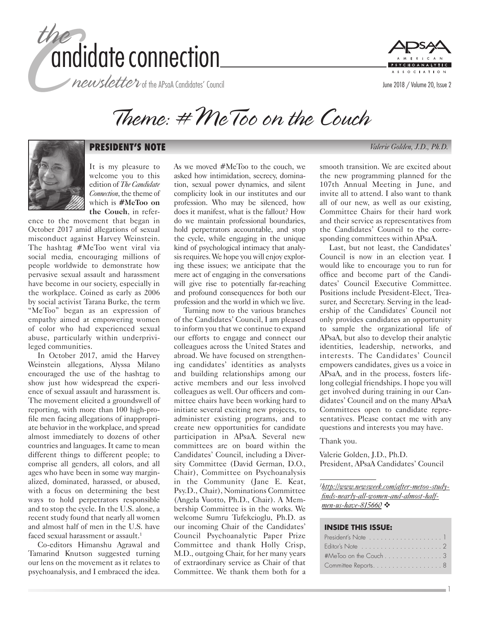





Theme: #MeToo on the Couch



# **PRESIDENT'S NOTE** *Valerie Golden, J.D., Ph.D.*

It is my pleasure to welcome you to this edition of *The Candidate Connection*, the theme of which is **#MeToo on the Couch**, in refer-

ence to the movement that began in October 2017 amid allegations of sexual misconduct against Harvey Weinstein. The hashtag #MeToo went viral via social media, encouraging millions of people worldwide to demonstrate how pervasive sexual assault and harassment have become in our society, especially in the workplace. Coined as early as 2006 by social activist Tarana Burke, the term "MeToo" began as an expression of empathy aimed at empowering women of color who had experienced sexual abuse, particularly within underprivileged communities.

In October 2017, amid the Harvey Weinstein allegations, Alyssa Milano encouraged the use of the hashtag to show just how widespread the experience of sexual assault and harassment is. The movement elicited a groundswell of reporting, with more than 100 high-profile men facing allegations of inappropriate behavior in the workplace, and spread almost immediately to dozens of other countries and languages. It came to mean different things to different people; to comprise all genders, all colors, and all ages who have been in some way marginalized, dominated, harassed, or abused, with a focus on determining the best ways to hold perpetrators responsible and to stop the cycle. In the U.S. alone, a recent study found that nearly all women and almost half of men in the U.S. have faced sexual harassment or assault.<sup>1</sup>

Co-editors Himanshu Agrawal and Tamarind Knutson suggested turning our lens on the movement as it relates to psychoanalysis, and I embraced the idea.

As we moved #MeToo to the couch, we asked how intimidation, secrecy, domination, sexual power dynamics, and silent complicity look in our institutes and our profession. Who may be silenced, how does it manifest, what is the fallout? How do we maintain professional boundaries, hold perpetrators accountable, and stop the cycle, while engaging in the unique kind of psychological intimacy that analysis requires. We hope you will enjoy exploring these issues; we anticipate that the mere act of engaging in the conversations will give rise to potentially far-reaching and profound consequences for both our profession and the world in which we live.

Turning now to the various branches of the Candidates' Council, I am pleased to inform you that we continue to expand our efforts to engage and connect our colleagues across the United States and abroad. We have focused on strengthening candidates' identities as analysts and building relationships among our active members and our less involved colleagues as well. Our officers and committee chairs have been working hard to initiate several exciting new projects, to administer existing programs, and to create new opportunities for candidate participation in APsaA. Several new committees are on board within the Candidates' Council, including a Diversity Committee (David German, D.O., Chair), Committee on Psychoanalysis in the Community (Jane E. Keat, Psy.D., Chair), Nominations Committee (Angela Vuotto, Ph.D., Chair). A Membership Committee is in the works. We welcome Sumru Tufekcioglu, Ph.D. as our incoming Chair of the Candidates' Council Psychoanalytic Paper Prize Committee and thank Holly Crisp, M.D., outgoing Chair, for her many years of extraordinary service as Chair of that Committee. We thank them both for a smooth transition. We are excited about the new programming planned for the 107th Annual Meeting in June, and invite all to attend. I also want to thank all of our new, as well as our existing, Committee Chairs for their hard work and their service as representatives from the Candidates' Council to the corresponding committees within APsaA.

Last, but not least, the Candidates' Council is now in an election year. I would like to encourage you to run for office and become part of the Candidates' Council Executive Committee. Positions include President-Elect, Treasurer, and Secretary. Serving in the leadership of the Candidates' Council not only provides candidates an opportunity to sample the organizational life of APsaA, but also to develop their analytic identities, leadership, networks, and interests. The Candidates' Council empowers candidates, gives us a voice in APsaA, and in the process, fosters lifelong collegial friendships. I hope you will get involved during training in our Candidates' Council and on the many APsaA Committees open to candidate representatives. Please contact me with any questions and interests you may have.

Thank you.

Valerie Golden, J.D., Ph.D. President, APsaA Candidates' Council

*1 [http://www.newsweek.com/after-metoo-study](http://www.newsweek.com/after-metoo-study-finds-nearly-all-women-and-almost-half-men-us-have-815660)[finds-nearly-all-women-and-almost-half](http://www.newsweek.com/after-metoo-study-finds-nearly-all-women-and-almost-half-men-us-have-815660)[men-us-have-815660](http://www.newsweek.com/after-metoo-study-finds-nearly-all-women-and-almost-half-men-us-have-815660)* ❖

#### **INSIDE THIS ISSUE:**

| Editor's Note $\dots\dots\dots\dots\dots\dots\dots\dots$ |  |  |  |  |  |  |  |
|----------------------------------------------------------|--|--|--|--|--|--|--|
| $#$ MeToo on the Couch $\ldots \ldots \ldots \ldots 3$   |  |  |  |  |  |  |  |
| Committee Reports. 8                                     |  |  |  |  |  |  |  |

1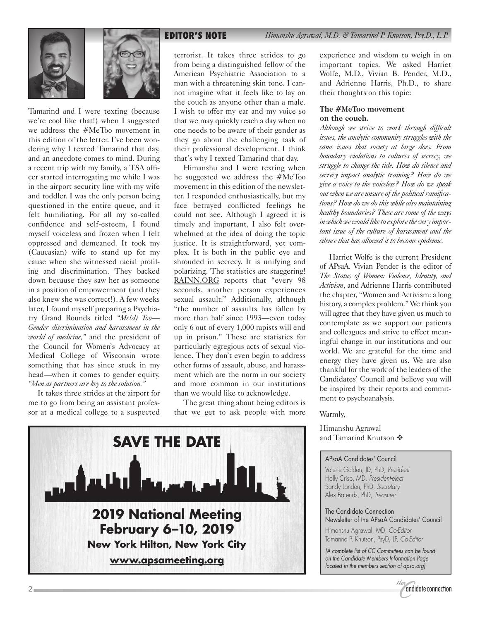

**EDITOR'S NOTE** *Himanshu Agrawal, M.D. & Tamarind P. Knutson, Psy.D., L.P.*





Tamarind and I were texting (because we're cool like that!) when I suggested we address the #MeToo movement in this edition of the letter. I've been wondering why I texted Tamarind that day, and an anecdote comes to mind. During a recent trip with my family, a TSA officer started interrogating me while I was in the airport security line with my wife and toddler. I was the only person being questioned in the entire queue, and it felt humiliating. For all my so-called confidence and self-esteem, I found myself voiceless and frozen when I felt oppressed and demeaned. It took my (Caucasian) wife to stand up for my cause when she witnessed racial profiling and discrimination. They backed down because they saw her as someone in a position of empowerment (and they also knew she was correct!). A few weeks later, I found myself preparing a Psychiatry Grand Rounds titled *"Me(d) Too— Gender discrimination and harassment in the world of medicine,"* and the president of the Council for Women's Advocacy at Medical College of Wisconsin wrote something that has since stuck in my head—when it comes to gender equity, *"Men as partners are key to the solution."*

It takes three strides at the airport for me to go from being an assistant professor at a medical college to a suspected

terrorist. It takes three strides to go from being a distinguished fellow of the American Psychiatric Association to a man with a threatening skin tone. I cannot imagine what it feels like to lay on the couch as anyone other than a male. I wish to offer my ear and my voice so that we may quickly reach a day when no one needs to be aware of their gender as they go about the challenging task of their professional development. I think that's why I texted Tamarind that day.

Himanshu and I were texting when he suggested we address the #MeToo movement in this edition of the newsletter. I responded enthusiastically, but my face betrayed conflicted feelings he could not see. Although I agreed it is timely and important, I also felt overwhelmed at the idea of doing the topic justice. It is straightforward, yet complex. It is both in the public eye and shrouded in secrecy. It is unifying and polarizing. The statistics are staggering! [RAINN.ORG](https://www.rainn.org) reports that "every 98 seconds, another person experiences sexual assault." Additionally, although "the number of assaults has fallen by more than half since 1993—even today only 6 out of every 1,000 rapists will end up in prison." These are statistics for particularly egregious acts of sexual violence. They don't even begin to address other forms of assault, abuse, and harassment which are the norm in our society and more common in our institutions than we would like to acknowledge.

The great thing about being editors is that we get to ask people with more



experience and wisdom to weigh in on important topics. We asked Harriet Wolfe, M.D., Vivian B. Pender, M.D., and Adrienne Harris, Ph.D., to share their thoughts on this topic:

#### **The #MeToo movement on the couch.**

*Although we strive to work through difficult issues, the analytic community struggles with the same issues that society at large does. From boundary violations to cultures of secrecy, we struggle to change the tide. How do silence and secrecy impact analytic training? How do we give a voice to the voiceless? How do we speak out when we are unsure of the political ramifications? How do we do this while also maintaining healthy boundaries? These are some of the ways in which we would like to explore the very important issue of the culture of harassment and the silence that has allowed it to become epidemic.*

Harriet Wolfe is the current President of APsaA. Vivian Pender is the editor of *The Status of Women: Violence, Identity, and Activism*, and Adrienne Harris contributed the chapter, "Women and Activism: a long history, a complex problem." We think you will agree that they have given us much to contemplate as we support our patients and colleagues and strive to effect meaningful change in our institutions and our world. We are grateful for the time and energy they have given us. We are also thankful for the work of the leaders of the Candidates' Council and believe you will be inspired by their reports and commitment to psychoanalysis.

#### Warmly,

Himanshu Agrawal and Tamarind Knutson  $\clubsuit$ 

#### APsaA Candidates' Council

Valerie Golden, JD, PhD, *President* Holly Crisp, MD, *President-elect* Sandy Landen, PhD, *Secretary* Alex Barends, PhD, *Treasurer*

The Candidate Connection Newsletter of the APsaA Candidates' Council Himanshu Agrawal, MD, *Co-Editor* Tamarind P. Knutson, PsyD, LP, *Co-Editor*

*(A complete list of CC Committees can be found on the Candidate Members Information Page located in the members section of apsa.org)*

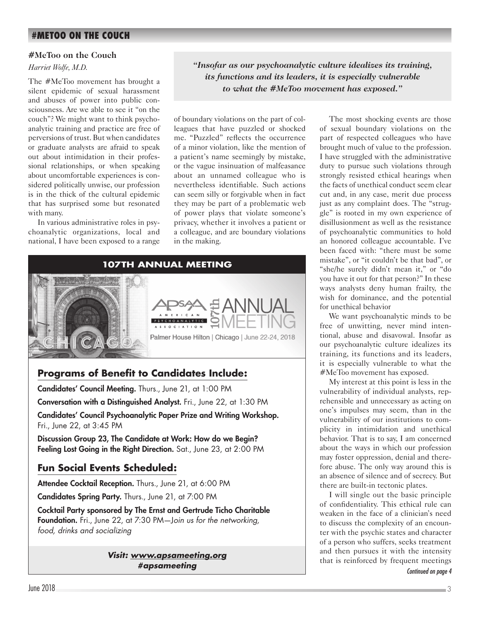# **#METOO ON THE COUCH**

#### **#MeToo on the Couch**

#### *Harriet Wolfe, M.D.*

The #MeToo movement has brought a silent epidemic of sexual harassment and abuses of power into public consciousness. Are we able to see it "on the couch"? We might want to think psychoanalytic training and practice are free of perversions of trust. But when candidates or graduate analysts are afraid to speak out about intimidation in their professional relationships, or when speaking about uncomfortable experiences is considered politically unwise, our profession is in the thick of the cultural epidemic that has surprised some but resonated with many.

In various administrative roles in psychoanalytic organizations, local and national, I have been exposed to a range *"Insofar as our psychoanalytic culture idealizes its training, its functions and its leaders, it is especially vulnerable to what the #MeToo movement has exposed."*

of boundary violations on the part of colleagues that have puzzled or shocked me. "Puzzled" reflects the occurrence of a minor violation, like the mention of a patient's name seemingly by mistake, or the vague insinuation of malfeasance about an unnamed colleague who is nevertheless identifiable. Such actions can seem silly or forgivable when in fact they may be part of a problematic web of power plays that violate someone's privacy, whether it involves a patient or a colleague, and are boundary violations in the making.



# **Programs of Benefit to Candidates Include:**

Candidates' Council Meeting. Thurs., June 21, at 1:00 PM Conversation with a Distinguished Analyst. Fri., June 22, at 1:30 PM Candidates' Council Psychoanalytic Paper Prize and Writing Workshop. Fri., June 22, at 3:45 PM

Discussion Group 23, The Candidate at Work: How do we Begin? Feeling Lost Going in the Right Direction. Sat., June 23, at 2:00 PM

# **Fun Social Events Scheduled:**

Attendee Cocktail Reception. Thurs., June 21, at 6:00 PM

Candidates Spring Party. Thurs., June 21, at 7:00 PM

Cocktail Party sponsored by The Ernst and Gertrude Ticho Charitable Foundation. Fri., June 22, at 7:30 PM—J*oin us for the networking, food, drinks and socializing*

> *Visit: [www.apsameeting.org](http://www.apsameeting.org) #apsameeting*

The most shocking events are those of sexual boundary violations on the part of respected colleagues who have brought much of value to the profession. I have struggled with the administrative duty to pursue such violations through strongly resisted ethical hearings when the facts of unethical conduct seem clear cut and, in any case, merit due process just as any complaint does. The "struggle" is rooted in my own experience of disillusionment as well as the resistance of psychoanalytic communities to hold an honored colleague accountable. I've been faced with: "there must be some mistake", or "it couldn't be that bad", or "she/he surely didn't mean it," or "do you have it out for that person?" In these ways analysts deny human frailty, the wish for dominance, and the potential for unethical behavior

We want psychoanalytic minds to be free of unwitting, never mind intentional, abuse and disavowal. Insofar as our psychoanalytic culture idealizes its training, its functions and its leaders, it is especially vulnerable to what the #MeToo movement has exposed.

My interest at this point is less in the vulnerability of individual analysts, reprehensible and unnecessary as acting on one's impulses may seem, than in the vulnerability of our institutions to complicity in intimidation and unethical behavior. That is to say, I am concerned about the ways in which our profession may foster oppression, denial and therefore abuse. The only way around this is an absence of silence and of secrecy. But there are built-in tectonic plates.

I will single out the basic principle of confidentiality. This ethical rule can weaken in the face of a clinician's need to discuss the complexity of an encounter with the psychic states and character of a person who suffers, seeks treatment and then pursues it with the intensity that is reinforced by frequent meetings

*Continued on page 4*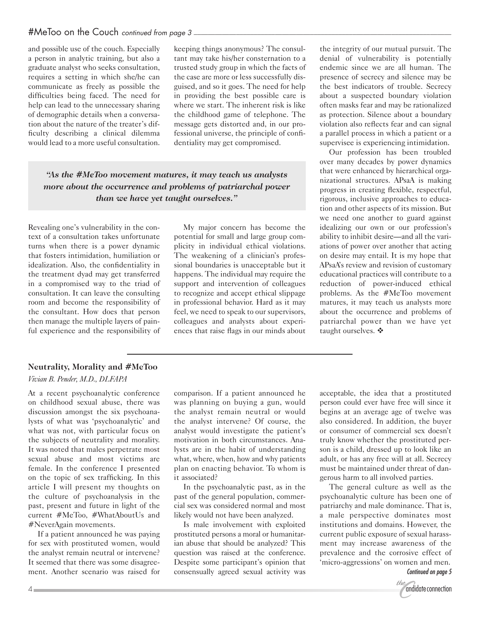and possible use of the couch. Especially a person in analytic training, but also a graduate analyst who seeks consultation, requires a setting in which she/he can communicate as freely as possible the difficulties being faced. The need for help can lead to the unnecessary sharing of demographic details when a conversation about the nature of the treater's difficulty describing a clinical dilemma would lead to a more useful consultation. keeping things anonymous? The consultant may take his/her consternation to a trusted study group in which the facts of the case are more or less successfully disguised, and so it goes. The need for help in providing the best possible care is where we start. The inherent risk is like the childhood game of telephone. The message gets distorted and, in our professional universe, the principle of confidentiality may get compromised.

*"As the #MeToo movement matures, it may teach us analysts more about the occurrence and problems of patriarchal power than we have yet taught ourselves."*

Revealing one's vulnerability in the context of a consultation takes unfortunate turns when there is a power dynamic that fosters intimidation, humiliation or idealization. Also, the confidentiality in the treatment dyad may get transferred in a compromised way to the triad of consultation. It can leave the consulting room and become the responsibility of the consultant. How does that person then manage the multiple layers of painful experience and the responsibility of

My major concern has become the potential for small and large group complicity in individual ethical violations. The weakening of a clinician's professional boundaries is unacceptable but it happens. The individual may require the support and intervention of colleagues to recognize and accept ethical slippage in professional behavior. Hard as it may feel, we need to speak to our supervisors, colleagues and analysts about experiences that raise flags in our minds about the integrity of our mutual pursuit. The denial of vulnerability is potentially endemic since we are all human. The presence of secrecy and silence may be the best indicators of trouble. Secrecy about a suspected boundary violation often masks fear and may be rationalized as protection. Silence about a boundary violation also reflects fear and can signal a parallel process in which a patient or a supervisee is experiencing intimidation.

Our profession has been troubled over many decades by power dynamics that were enhanced by hierarchical organizational structures. APsaA is making progress in creating flexible, respectful, rigorous, inclusive approaches to education and other aspects of its mission. But we need one another to guard against idealizing our own or our profession's ability to inhibit desire—and all the variations of power over another that acting on desire may entail. It is my hope that APsaA's review and revision of customary educational practices will contribute to a reduction of power-induced ethical problems. As the #MeToo movement matures, it may teach us analysts more about the occurrence and problems of patriarchal power than we have yet taught ourselves.  $\clubsuit$ 

### **Neutrality, Morality and #MeToo**

*Vivian B. Pender, M.D., DLFAPA*

At a recent psychoanalytic conference on childhood sexual abuse, there was discussion amongst the six psychoanalysts of what was 'psychoanalytic' and what was not, with particular focus on the subjects of neutrality and morality. It was noted that males perpetrate most sexual abuse and most victims are female. In the conference I presented on the topic of sex trafficking. In this article I will present my thoughts on the culture of psychoanalysis in the past, present and future in light of the current #MeToo, #WhatAboutUs and #NeverAgain movements.

If a patient announced he was paying for sex with prostituted women, would the analyst remain neutral or intervene? It seemed that there was some disagreement. Another scenario was raised for

comparison. If a patient announced he was planning on buying a gun, would the analyst remain neutral or would the analyst intervene? Of course, the analyst would investigate the patient's motivation in both circumstances. Analysts are in the habit of understanding what, where, when, how and why patients plan on enacting behavior. To whom is it associated?

In the psychoanalytic past, as in the past of the general population, commercial sex was considered normal and most likely would not have been analyzed.

Is male involvement with exploited prostituted persons a moral or humanitarian abuse that should be analyzed? This question was raised at the conference. Despite some participant's opinion that consensually agreed sexual activity was acceptable, the idea that a prostituted person could ever have free will since it begins at an average age of twelve was also considered. In addition, the buyer or consumer of commercial sex doesn't truly know whether the prostituted person is a child, dressed up to look like an adult, or has any free will at all. Secrecy must be maintained under threat of dangerous harm to all involved parties.

The general culture as well as the psychoanalytic culture has been one of patriarchy and male dominance. That is, a male perspective dominates most institutions and domains. However, the current public exposure of sexual harassment may increase awareness of the prevalence and the corrosive effect of 'micro-aggressions' on women and men.

*Continued on page 5*

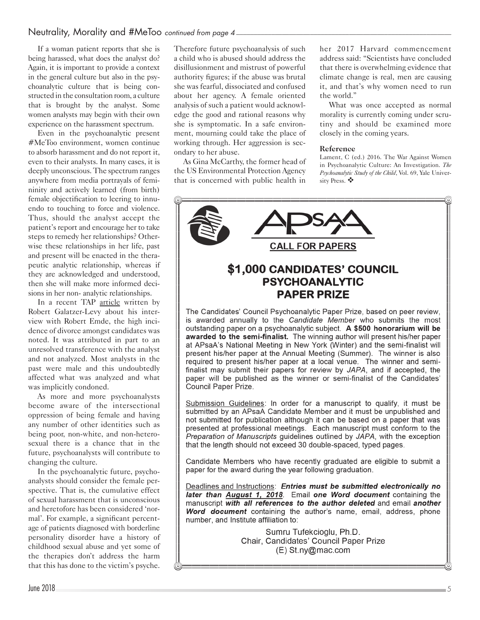## Neutrality, Morality and #MeToo *continued from page 4*

If a woman patient reports that she is being harassed, what does the analyst do? Again, it is important to provide a context in the general culture but also in the psychoanalytic culture that is being constructed in the consultation room, a culture that is brought by the analyst. Some women analysts may begin with their own experience on the harassment spectrum.

Even in the psychoanalytic present #MeToo environment, women continue to absorb harassment and do not report it, even to their analysts. In many cases, it is deeply unconscious. The spectrum ranges anywhere from media portrayals of femininity and actively learned (from birth) female objectification to leering to innuendo to touching to force and violence. Thus, should the analyst accept the patient's report and encourage her to take steps to remedy her relationships? Otherwise these relationships in her life, past and present will be enacted in the therapeutic analytic relationship, whereas if they are acknowledged and understood, then she will make more informed decisions in her non- analytic relationships.

In a recent TAP [article](http://www.apsa.org/apsaa-publications/vol52no1-TOC/html/vol52no1_06.xhtml) written by Robert Galatzer-Levy about his interview with Robert Emde, the high incidence of divorce amongst candidates was noted. It was attributed in part to an unresolved transference with the analyst and not analyzed. Most analysts in the past were male and this undoubtedly affected what was analyzed and what was implicitly condoned.

As more and more psychoanalysts become aware of the intersectional oppression of being female and having any number of other identities such as being poor, non-white, and non-heterosexual there is a chance that in the future, psychoanalysts will contribute to changing the culture.

In the psychoanalytic future, psychoanalysts should consider the female perspective. That is, the cumulative effect of sexual harassment that is unconscious and heretofore has been considered 'normal'. For example, a significant percentage of patients diagnosed with borderline personality disorder have a history of childhood sexual abuse and yet some of the therapies don't address the harm that this has done to the victim's psyche.

Therefore future psychoanalysis of such a child who is abused should address the disillusionment and mistrust of powerful authority figures; if the abuse was brutal she was fearful, dissociated and confused about her agency. A female oriented analysis of such a patient would acknowledge the good and rational reasons why she is symptomatic. In a safe environment, mourning could take the place of working through. Her aggression is secondary to her abuse.

As Gina McCarthy, the former head of the US Environmental Protection Agency that is concerned with public health in

her 2017 Harvard commencement address said: "Scientists have concluded that there is overwhelming evidence that climate change is real, men are causing it, and that's why women need to run the world."

What was once accepted as normal morality is currently coming under scrutiny and should be examined more closely in the coming years.

#### **Reference**

Lament, C (ed.) 2016. The War Against Women in Psychoanalytic Culture: An Investigation. *The Psychoanalytic Study of the Child*, Vol. 69, Yale University Press.  $\clubsuit$ 



required to present his/her paper at a local venue. The winner and semifinalist may submit their papers for review by JAPA, and if accepted, the paper will be published as the winner or semi-finalist of the Candidates' Council Paper Prize.

Submission Guidelines: In order for a manuscript to qualify, it must be submitted by an APsaA Candidate Member and it must be unpublished and not submitted for publication although it can be based on a paper that was presented at professional meetings. Each manuscript must conform to the Preparation of Manuscripts quidelines outlined by JAPA, with the exception that the length should not exceed 30 double-spaced, typed pages.

Candidate Members who have recently graduated are eligible to submit a paper for the award during the year following graduation.

Deadlines and Instructions: Entries must be submitted electronically no later than August 1, 2018. Email one Word document containing the manuscript with all references to the author deleted and email another Word document containing the author's name, email, address, phone number, and Institute affiliation to:

> Sumru Tufekcioglu, Ph.D. Chair, Candidates' Council Paper Prize (E) St.ny@mac.com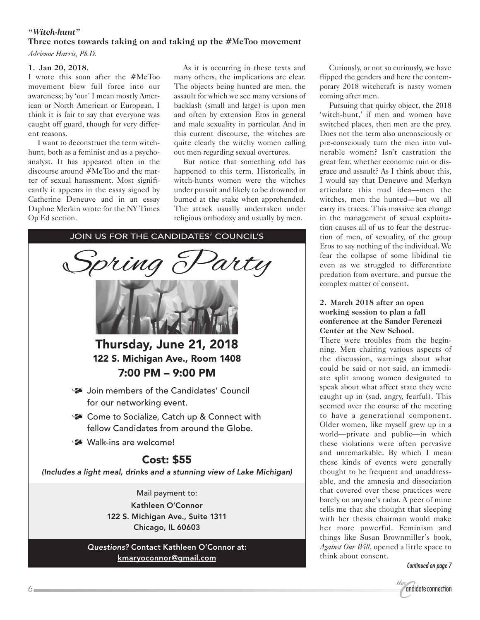# *"Witch-hunt"* **Three notes towards taking on and taking up the #MeToo movement**

*Adrienne Harris, Ph.D.*

#### **1. Jan 20, 2018.**

I wrote this soon after the #MeToo movement blew full force into our awareness; by 'our' I mean mostly American or North American or European. I think it is fair to say that everyone was caught off guard, though for very different reasons.

I want to deconstruct the term witchhunt, both as a feminist and as a psychoanalyst. It has appeared often in the discourse around #MeToo and the matter of sexual harassment. Most significantly it appears in the essay signed by Catherine Deneuve and in an essay Daphne Merkin wrote for the NY Times Op Ed section.

As it is occurring in these texts and many others, the implications are clear. The objects being hunted are men, the assault for which we see many versions of backlash (small and large) is upon men and often by extension Eros in general and male sexuality in particular. And in this current discourse, the witches are quite clearly the witchy women calling out men regarding sexual overtures.

But notice that something odd has happened to this term. Historically, in witch-hunts women were the witches under pursuit and likely to be drowned or burned at the stake when apprehended. The attack usually undertaken under religious orthodoxy and usually by men.



Curiously, or not so curiously, we have flipped the genders and here the contemporary 2018 witchcraft is nasty women coming after men.

Pursuing that quirky object, the 2018 'witch-hunt,' if men and women have switched places, then men are the prey. Does not the term also unconsciously or pre-consciously turn the men into vulnerable women? Isn't castration the great fear, whether economic ruin or disgrace and assault? As I think about this, I would say that Deneuve and Merkyn articulate this mad idea—men the witches, men the hunted—but we all carry its traces. This massive sea change in the management of sexual exploitation causes all of us to fear the destruction of men, of sexuality, of the group Eros to say nothing of the individual. We fear the collapse of some libidinal tie even as we struggled to differentiate predation from overture, and pursue the complex matter of consent.

### **2. March 2018 after an open working session to plan a fall conference at the Sander Ferenczi Center at the New School.**

There were troubles from the beginning. Men chairing various aspects of the discussion, warnings about what could be said or not said, an immediate split among women designated to speak about what affect state they were caught up in (sad, angry, fearful). This seemed over the course of the meeting to have a generational component. Older women, like myself grew up in a world—private and public—in which these violations were often pervasive and unremarkable. By which I mean these kinds of events were generally thought to be frequent and unaddressable, and the amnesia and dissociation that covered over these practices were barely on anyone's radar. A peer of mine tells me that she thought that sleeping with her thesis chairman would make her more powerful. Feminism and things like Susan Brownmiller's book, *Against Our Will*, opened a little space to think about consent.

*Continued on page 7*

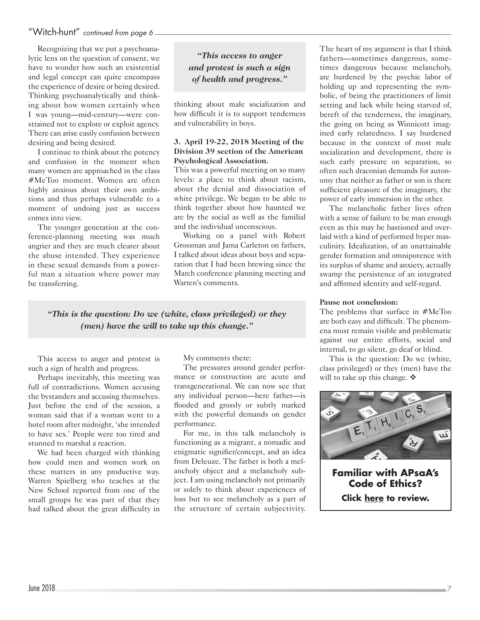# "Witch-hunt" *continued from page 6 \_\_\_\_\_\_\_\_\_\_\_\_\_\_\_\_\_\_\_\_\_\_\_\_\_\_\_\_\_\_\_\_\_\_\_\_\_\_\_\_\_\_\_\_\_\_\_\_\_\_\_\_\_\_\_\_\_\_\_\_\_\_\_\_\_\_\_\_\_\_\_\_\_\_\_\_\_\_\_\_\_\_\_\_*

Recognizing that we put a psychoanalytic lens on the question of consent, we have to wonder how such an existential and legal concept can quite encompass the experience of desire or being desired. Thinking psychoanalytically and thinking about how women certainly when I was young—mid-century—were constrained not to explore or exploit agency. There can arise easily confusion between desiring and being desired.

I continue to think about the potency and confusion in the moment when many women are approached in the class #MeToo moment. Women are often highly anxious about their own ambitions and thus perhaps vulnerable to a moment of undoing just as success comes into view.

The younger generation at the conference-planning meeting was much angrier and they are much clearer about the abuse intended. They experience in these sexual demands from a powerful man a situation where power may be transferring.

*"This access to anger and protest is such a sign of health and progress."*

thinking about male socialization and how difficult it is to support tenderness and vulnerability in boys.

#### **3. April 19-22, 2018 Meeting of the Division 39 section of the American Psychological Association.**

This was a powerful meeting on so many levels: a place to think about racism, about the denial and dissociation of white privilege. We began to be able to think together about how haunted we are by the social as well as the familial and the individual unconscious.

Working on a panel with Robert Grossman and Jama Carleton on fathers, I talked about ideas about boys and separation that I had been brewing since the March conference planning meeting and Warren's comments.

*"This is the question: Do we (white, class privileged) or they (men) have the will to take up this change."*

This access to anger and protest is such a sign of health and progress.

Perhaps inevitably, this meeting was full of contradictions. Women accusing the bystanders and accusing themselves. Just before the end of the session, a woman said that if a woman went to a hotel room after midnight, 'she intended to have sex.' People were too tired and stunned to marshal a reaction.

We had been charged with thinking how could men and women work on these matters in any productive way. Warren Spielberg who teaches at the New School reported from one of the small groups he was part of that they had talked about the great difficulty in My comments there:

The pressures around gender performance or construction are acute and transgenerational. We can now see that any individual person—here father—is flooded and grossly or subtly marked with the powerful demands on gender performance.

For me, in this talk melancholy is functioning as a migrant, a nomadic and enigmatic signifier/concept, and an idea from Deleuze. The father is both a melancholy object and a melancholy subject. I am using melancholy not primarily or solely to think about experiences of loss but to see melancholy as a part of the structure of certain subjectivity. The heart of my argument is that I think fathers—sometimes dangerous, sometimes dangerous because melancholy, are burdened by the psychic labor of holding up and representing the symbolic, of being the practitioners of limit setting and lack while being starved of, bereft of the tenderness, the imaginary, the going on being as Winnicott imagined early relatedness. I say burdened because in the context of most male socialization and development, there is such early pressure on separation, so often such draconian demands for autonomy that neither as father or son is there sufficient pleasure of the imaginary, the power of early immersion in the other.

The melancholic father lives often with a sense of failure to be man enough even as this may be bastioned and overlaid with a kind of performed hyper masculinity. Idealization, of an unattainable gender formation and omnipotence with its surplus of shame and anxiety, actually swamp the persistence of an integrated and affirmed identity and self-regard.

#### **Pause not conclusion:**

The problems that surface in #MeToo are both easy and difficult. The phenomena must remain visible and problematic against our entire efforts, social and internal, to go silent, go deaf or blind.

This is the question: Do we (white, class privileged) or they (men) have the will to take up this change.  $\mathbf{\hat{\cdot}}$ 

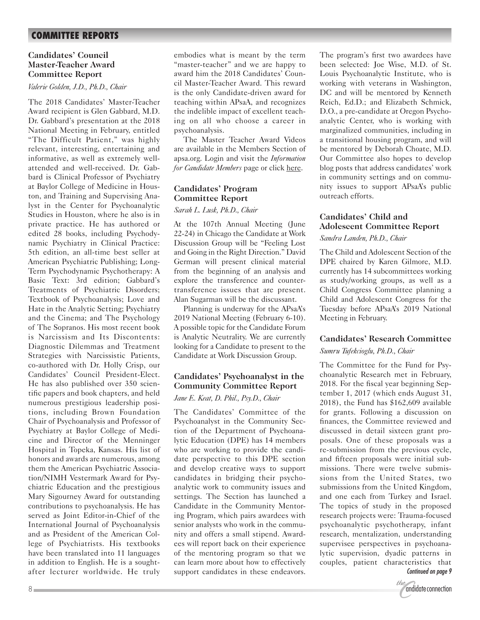# **COMMITTEE REPORTS**

#### **Candidates' Council Master-Teacher Award Committee Report**

#### *Valerie Golden, J.D., Ph.D., Chair*

The 2018 Candidates' Master-Teacher Award recipient is Glen Gabbard, M.D. Dr. Gabbard's presentation at the 2018 National Meeting in February, entitled "The Difficult Patient," was highly relevant, interesting, entertaining and informative, as well as extremely wellattended and well-received. Dr. Gabbard is Clinical Professor of Psychiatry at Baylor College of Medicine in Houston, and Training and Supervising Analyst in the Center for Psychoanalytic Studies in Houston, where he also is in private practice. He has authored or edited 28 books, including Psychodynamic Psychiatry in Clinical Practice: 5th edition, an all-time best seller at American Psychiatric Publishing; Long-Term Psychodynamic Psychotherapy: A Basic Text: 3rd edition; Gabbard's Treatments of Psychiatric Disorders; Textbook of Psychoanalysis; Love and Hate in the Analytic Setting; Psychiatry and the Cinema; and The Psychology of The Sopranos. His most recent book is Narcissism and Its Discontents: Diagnostic Dilemmas and Treatment Strategies with Narcissistic Patients, co-authored with Dr. Holly Crisp, our Candidates' Council President-Elect. He has also published over 350 scientific papers and book chapters, and held numerous prestigious leadership positions, including Brown Foundation Chair of Psychoanalysis and Professor of Psychiatry at Baylor College of Medicine and Director of the Menninger Hospital in Topeka, Kansas. His list of honors and awards are numerous, among them the American Psychiatric Association/NIMH Vestermark Award for Psychiatric Education and the prestigious Mary Sigourney Award for outstanding contributions to psychoanalysis. He has served as Joint Editor-in-Chief of the International Journal of Psychoanalysis and as President of the American College of Psychiatrists. His textbooks have been translated into 11 languages in addition to English. He is a soughtafter lecturer worldwide. He truly

embodies what is meant by the term "master-teacher" and we are happy to award him the 2018 Candidates' Council Master-Teacher Award. This reward is the only Candidate-driven award for teaching within APsaA, and recognizes the indelible impact of excellent teaching on all who choose a career in psychoanalysis.

The Master Teacher Award Videos are available in the Members Section of apsa.org. Login and visit the *Information for Candidate Members* page or click [here](http://www.apsa.org/content/information-candidate-members#overlay-context=members-only-test).

### **Candidates' Program Committee Report**

#### *Sarah L. Lusk, Ph.D., Chair*

At the 107th Annual Meeting (June 22-24) in Chicago the Candidate at Work Discussion Group will be "Feeling Lost and Going in the Right Direction." David German will present clinical material from the beginning of an analysis and explore the transference and countertransference issues that are present. Alan Sugarman will be the discussant.

Planning is underway for the APsaA's 2019 National Meeting (February 6-10). A possible topic for the Candidate Forum is Analytic Neutrality. We are currently looking for a Candidate to present to the Candidate at Work Discussion Group.

### **Candidates' Psychoanalyst in the Community Committee Report** *Jane E. Keat, D. Phil., Psy.D., Chair*

The Candidates' Committee of the Psychoanalyst in the Community Section of the Department of Psychoanalytic Education (DPE) has 14 members who are working to provide the candidate perspective to this DPE section and develop creative ways to support candidates in bridging their psychoanalytic work to community issues and settings. The Section has launched a Candidate in the Community Mentoring Program, which pairs awardees with senior analysts who work in the community and offers a small stipend. Awardees will report back on their experience of the mentoring program so that we can learn more about how to effectively support candidates in these endeavors. The program's first two awardees have been selected: Joe Wise, M.D. of St. Louis Psychoanalytic Institute, who is working with veterans in Washington, DC and will be mentored by Kenneth Reich, Ed.D.; and Elizabeth Schmick, D.O., a pre-candidate at Oregon Psychoanalytic Center, who is working with marginalized communities, including in a transitional housing program, and will be mentored by Deborah Choate, M.D. Our Committee also hopes to develop blog posts that address candidates' work in community settings and on community issues to support APsaA's public outreach efforts.

## **Candidates' Child and Adolescent Committee Report**

#### *Sandra Landen, Ph.D., Chair*

The Child and Adolescent Section of the DPE chaired by Karen Gilmore, M.D. currently has 14 subcommittees working as study/working groups, as well as a Child Congress Committee planning a Child and Adolescent Congress for the Tuesday before APsaA's 2019 National Meeting in February.

#### **Candidates' Research Committee**

#### *Sumru Tufekcioglu, Ph.D., Chair*

The Committee for the Fund for Psychoanalytic Research met in February, 2018. For the fiscal year beginning September 1, 2017 (which ends August 31, 2018), the Fund has \$162,609 available for grants. Following a discussion on finances, the Committee reviewed and discussed in detail sixteen grant proposals. One of these proposals was a re-submission from the previous cycle, and fifteen proposals were initial submissions. There were twelve submissions from the United States, two submissions from the United Kingdom, and one each from Turkey and Israel. The topics of study in the proposed research projects were: Trauma-focused psychoanalytic psychotherapy, infant research, mentalization, understanding supervisee perspectives in psychoanalytic supervision, dyadic patterns in couples, patient characteristics that *Continued on page 9*